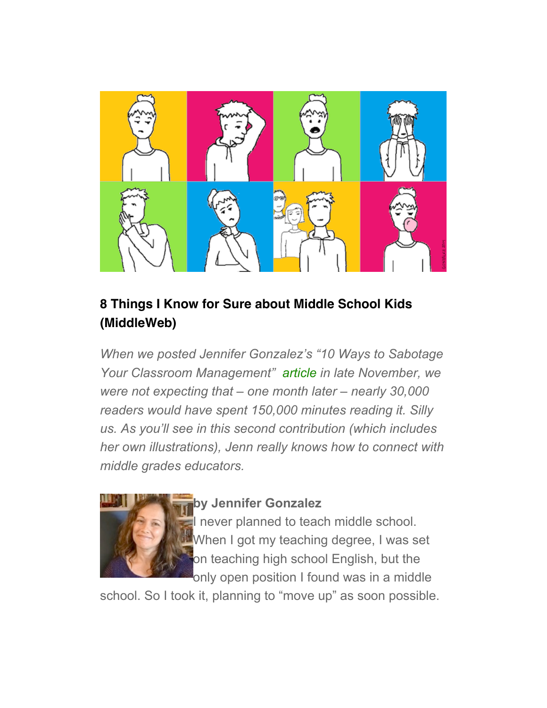

#### **8 Things I Know for Sure about Middle School Kids (MiddleWeb)**

*When we posted Jennifer Gonzalez's "10 Ways to Sabotage Your Classroom Management" [article](http://www.middleweb.com/19037/10-ways-sabotage-classroom-management/) in late November, we were not expecting that – one month later – nearly 30,000 readers would have spent 150,000 minutes reading it. Silly us. As you'll see in this second contribution (which includes her own illustrations), Jenn really knows how to connect with middle grades educators.*



#### **by Jennifer Gonzalez**

I never planned to teach middle school. When I got my teaching degree, I was set on teaching high school English, but the only open position I found was in a middle

school. So I took it, planning to "move up" as soon possible.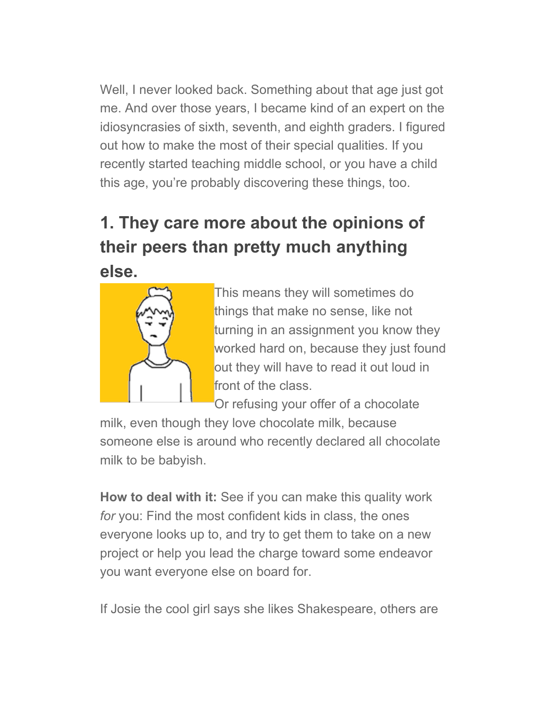Well, I never looked back. Something about that age just got me. And over those years, I became kind of an expert on the idiosyncrasies of sixth, seventh, and eighth graders. I figured out how to make the most of their special qualities. If you recently started teaching middle school, or you have a child this age, you're probably discovering these things, too.

# **1. They care more about the opinions of their peers than pretty much anything else.**



This means they will sometimes do things that make no sense, like not turning in an assignment you know they worked hard on, because they just found out they will have to read it out loud in front of the class.

Or refusing your offer of a chocolate

milk, even though they love chocolate milk, because someone else is around who recently declared all chocolate milk to be babyish.

**How to deal with it:** See if you can make this quality work *for* you: Find the most confident kids in class, the ones everyone looks up to, and try to get them to take on a new project or help you lead the charge toward some endeavor you want everyone else on board for.

If Josie the cool girl says she likes Shakespeare, others are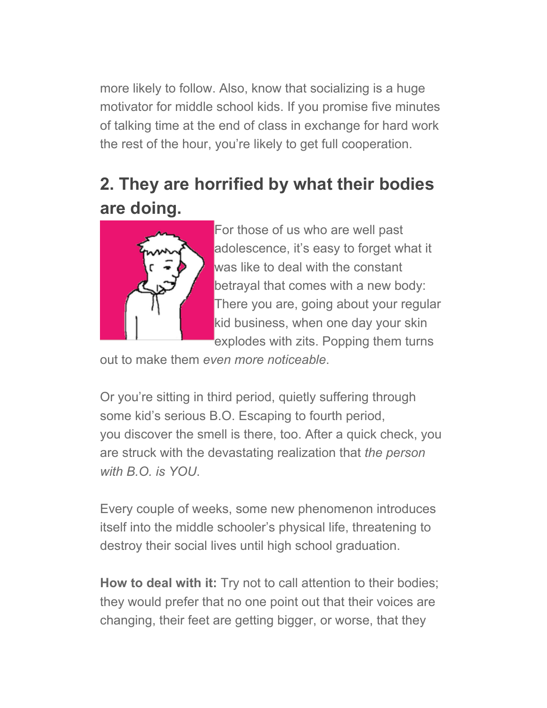more likely to follow. Also, know that socializing is a huge motivator for middle school kids. If you promise five minutes of talking time at the end of class in exchange for hard work the rest of the hour, you're likely to get full cooperation.

## **2. They are horrified by what their bodies are doing.**



For those of us who are well past adolescence, it's easy to forget what it was like to deal with the constant betrayal that comes with a new body: There you are, going about your regular kid business, when one day your skin explodes with zits. Popping them turns

out to make them *even more noticeable*.

Or you're sitting in third period, quietly suffering through some kid's serious B.O. Escaping to fourth period, you discover the smell is there, too. After a quick check, you are struck with the devastating realization that *the person with B.O. is YOU*.

Every couple of weeks, some new phenomenon introduces itself into the middle schooler's physical life, threatening to destroy their social lives until high school graduation.

**How to deal with it:** Try not to call attention to their bodies; they would prefer that no one point out that their voices are changing, their feet are getting bigger, or worse, that they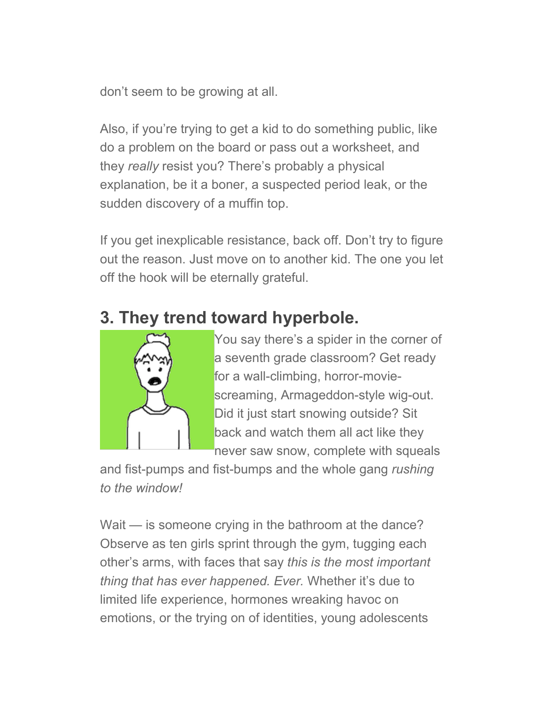don't seem to be growing at all.

Also, if you're trying to get a kid to do something public, like do a problem on the board or pass out a worksheet, and they *really* resist you? There's probably a physical explanation, be it a boner, a suspected period leak, or the sudden discovery of a muffin top.

If you get inexplicable resistance, back off. Don't try to figure out the reason. Just move on to another kid. The one you let off the hook will be eternally grateful.

## **3. They trend toward hyperbole.**



You say there's a spider in the corner of a seventh grade classroom? Get ready for a wall-climbing, horror-moviescreaming, Armageddon-style wig-out. Did it just start snowing outside? Sit back and watch them all act like they never saw snow, complete with squeals

and fist-pumps and fist-bumps and the whole gang *rushing to the window!*

Wait — is someone crying in the bathroom at the dance? Observe as ten girls sprint through the gym, tugging each other's arms, with faces that say *this is the most important thing that has ever happened. Ever.* Whether it's due to limited life experience, hormones wreaking havoc on emotions, or the trying on of identities, young adolescents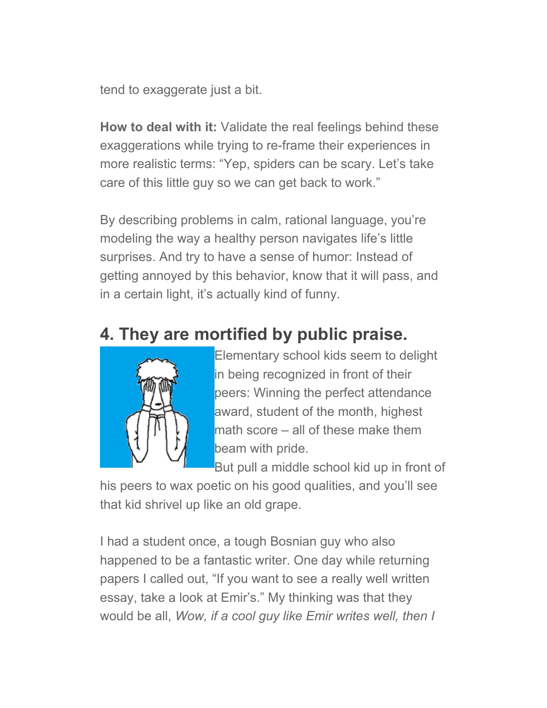tend to exaggerate just a bit.

**How to deal with it:** Validate the real feelings behind these exaggerations while trying to re-frame their experiences in more realistic terms: "Yep, spiders can be scary. Let's take care of this little guy so we can get back to work."

By describing problems in calm, rational language, you're modeling the way a healthy person navigates life's little surprises. And try to have a sense of humor: Instead of getting annoyed by this behavior, know that it will pass, and in a certain light, it's actually kind of funny.

## **4. They are mortified by public praise.**



Elementary school kids seem to delight in being recognized in front of their peers: Winning the perfect attendance award, student of the month, highest math score – all of these make them beam with pride.

But pull a middle school kid up in front of

his peers to wax poetic on his good qualities, and you'll see that kid shrivel up like an old grape.

I had a student once, a tough Bosnian guy who also happened to be a fantastic writer. One day while returning papers I called out, "If you want to see a really well written essay, take a look at Emir's." My thinking was that they would be all, *Wow, if a cool guy like Emir writes well, then I*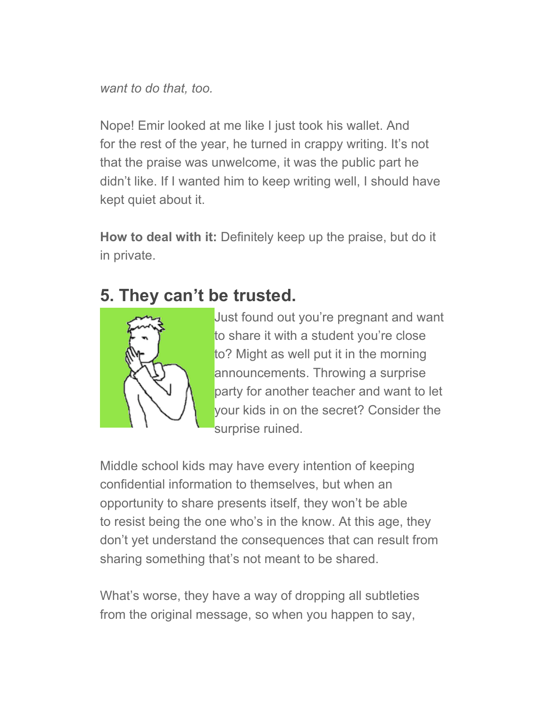*want to do that, too.*

Nope! Emir looked at me like I just took his wallet. And for the rest of the year, he turned in crappy writing. It's not that the praise was unwelcome, it was the public part he didn't like. If I wanted him to keep writing well, I should have kept quiet about it.

**How to deal with it:** Definitely keep up the praise, but do it in private.

## **5. They can't be trusted.**



Just found out you're pregnant and want to share it with a student you're close to? Might as well put it in the morning announcements. Throwing a surprise party for another teacher and want to let your kids in on the secret? Consider the surprise ruined.

Middle school kids may have every intention of keeping confidential information to themselves, but when an opportunity to share presents itself, they won't be able to resist being the one who's in the know. At this age, they don't yet understand the consequences that can result from sharing something that's not meant to be shared.

What's worse, they have a way of dropping all subtleties from the original message, so when you happen to say,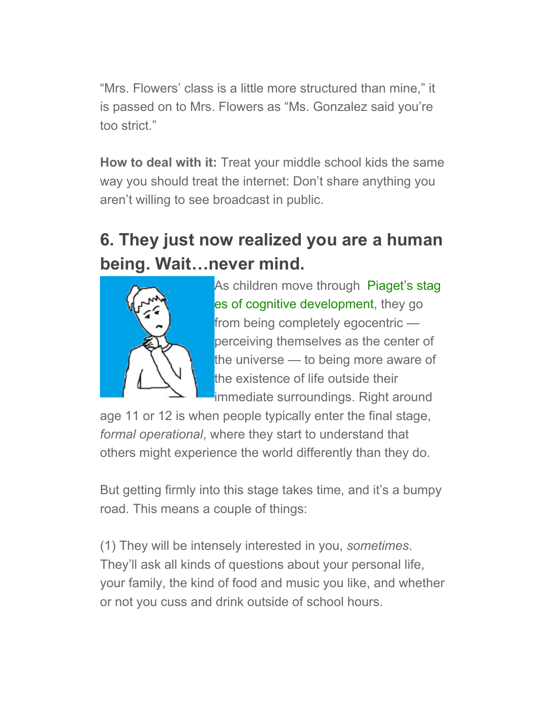"Mrs. Flowers' class is a little more structured than mine," it is passed on to Mrs. Flowers as "Ms. Gonzalez said you're too strict."

**How to deal with it:** Treat your middle school kids the same way you should treat the internet: Don't share anything you aren't willing to see broadcast in public.

# **6. They just now realized you are a human being. Wait…never mind.**



[As children move through Piaget's stag](http://www.webmd.com/children/piaget-stages-of-development) es of cognitive development, they go from being completely egocentric perceiving themselves as the center of the universe — to being more aware of the existence of life outside their immediate surroundings. Right around

age 11 or 12 is when people typically enter the final stage, *formal operational*, where they start to understand that others might experience the world differently than they do.

But getting firmly into this stage takes time, and it's a bumpy road. This means a couple of things:

(1) They will be intensely interested in you, *sometimes*. They'll ask all kinds of questions about your personal life, your family, the kind of food and music you like, and whether or not you cuss and drink outside of school hours.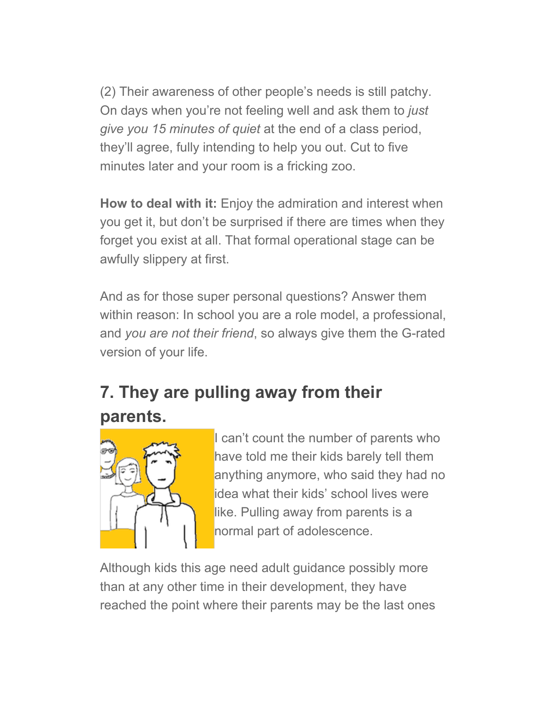(2) Their awareness of other people's needs is still patchy. On days when you're not feeling well and ask them to *just give you 15 minutes of quiet* at the end of a class period, they'll agree, fully intending to help you out. Cut to five minutes later and your room is a fricking zoo.

**How to deal with it:** Enjoy the admiration and interest when you get it, but don't be surprised if there are times when they forget you exist at all. That formal operational stage can be awfully slippery at first.

And as for those super personal questions? Answer them within reason: In school you are a role model, a professional, and *you are not their friend*, so always give them the G-rated version of your life.

# **7. They are pulling away from their**



I can't count the number of parents who have told me their kids barely tell them anything anymore, who said they had no idea what their kids' school lives were like. Pulling away from parents is a normal part of adolescence.

Although kids this age need adult guidance possibly more than at any other time in their development, they have reached the point where their parents may be the last ones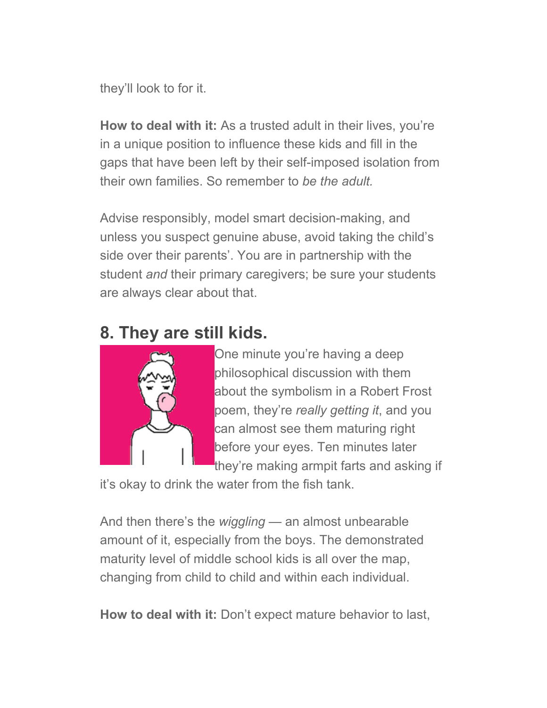they'll look to for it.

**How to deal with it:** As a trusted adult in their lives, you're in a unique position to influence these kids and fill in the gaps that have been left by their self-imposed isolation from their own families. So remember to *be the adult.*

Advise responsibly, model smart decision-making, and unless you suspect genuine abuse, avoid taking the child's side over their parents'. You are in partnership with the student *and* their primary caregivers; be sure your students are always clear about that.

## **8. They are still kids.**



One minute you're having a deep philosophical discussion with them about the symbolism in a Robert Frost poem, they're *really getting it*, and you can almost see them maturing right before your eyes. Ten minutes later they're making armpit farts and asking if

it's okay to drink the water from the fish tank.

And then there's the *wiggling* — an almost unbearable amount of it, especially from the boys. The demonstrated maturity level of middle school kids is all over the map, changing from child to child and within each individual.

**How to deal with it:** Don't expect mature behavior to last,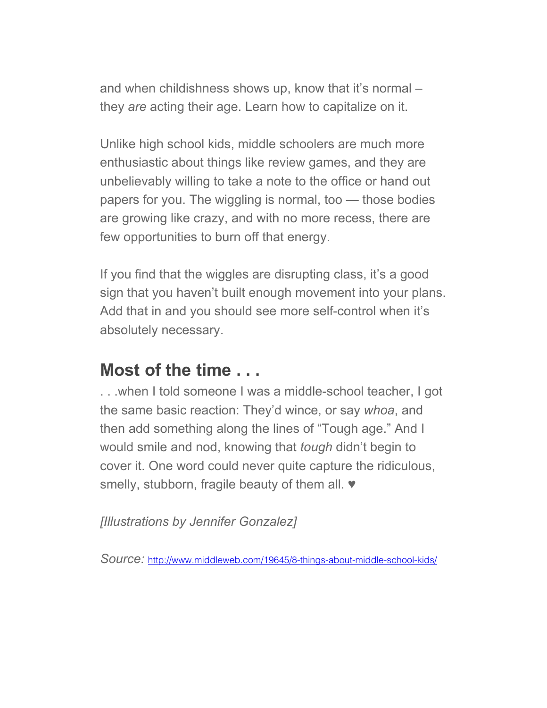and when childishness shows up, know that it's normal – they *are* acting their age. Learn how to capitalize on it.

Unlike high school kids, middle schoolers are much more enthusiastic about things like review games, and they are unbelievably willing to take a note to the office or hand out papers for you. The wiggling is normal, too — those bodies are growing like crazy, and with no more recess, there are few opportunities to burn off that energy.

If you find that the wiggles are disrupting class, it's a good sign that you haven't built enough movement into your plans. Add that in and you should see more self-control when it's absolutely necessary.

#### **Most of the time . . .**

. . .when I told someone I was a middle-school teacher, I got the same basic reaction: They'd wince, or say *whoa*, and then add something along the lines of "Tough age." And I would smile and nod, knowing that *tough* didn't begin to cover it. One word could never quite capture the ridiculous, smelly, stubborn, fragile beauty of them all.  $\blacktriangledown$ 

*[Illustrations by Jennifer Gonzalez]*

*Source:* <http://www.middleweb.com/19645/8-things-about-middle-school-kids/>